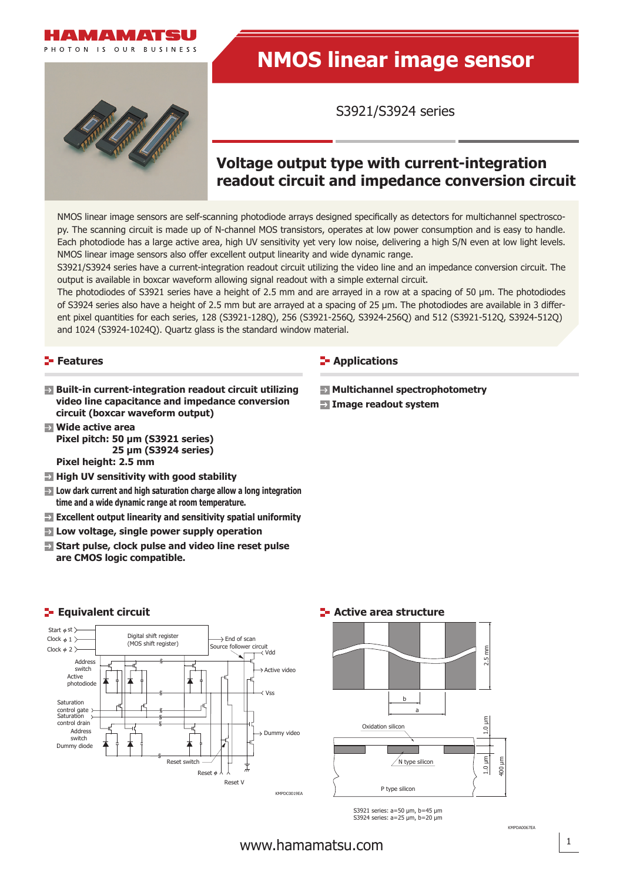

PHOTON IS OUR RUSINESS

# **NMOS linear image sensor**

S3921/S3924 series

# **Voltage output type with current-integration readout circuit and impedance conversion circuit**

NMOS linear image sensors are self-scanning photodiode arrays designed specifically as detectors for multichannel spectroscopy. The scanning circuit is made up of N-channel MOS transistors, operates at low power consumption and is easy to handle. Each photodiode has a large active area, high UV sensitivity yet very low noise, delivering a high S/N even at low light levels. NMOS linear image sensors also offer excellent output linearity and wide dynamic range.

S3921/S3924 series have a current-integration readout circuit utilizing the video line and an impedance conversion circuit. The output is available in boxcar waveform allowing signal readout with a simple external circuit.

The photodiodes of S3921 series have a height of 2.5 mm and are arrayed in a row at a spacing of 50 μm. The photodiodes of S3924 series also have a height of 2.5 mm but are arrayed at a spacing of 25 μm. The photodiodes are available in 3 different pixel quantities for each series, 128 (S3921-128Q), 256 (S3921-256Q, S3924-256Q) and 512 (S3921-512Q, S3924-512Q) and 1024 (S3924-1024Q). Quartz glass is the standard window material.

# **Features**

- **Built-in current-integration readout circuit utilizing video line capacitance and impedance conversion circuit (boxcar waveform output)**
- **Wide active area Pixel pitch: 50 μm (S3921 series) 25 μm (S3924 series)**
	- **Pixel height: 2.5 mm**
- $\blacksquare$  **High UV sensitivity with good stability**
- **Low dark current and high saturation charge allow a long integration time and a wide dynamic range at room temperature.**
- **Excellent output linearity and sensitivity spatial uniformity**
- **Low voltage, single power supply operation**
- **E** Start pulse, clock pulse and video line reset pulse **are CMOS logic compatible.**

# **E-** Applications

- $\blacksquare$  **Multichannel spectrophotometry**
- **Image readout system**





S3921 series: a=50 μm, b=45 μm S3924 series: a=25 μm, b=20 μm

# **Example Equivalent circuit**

KMPDA0067EA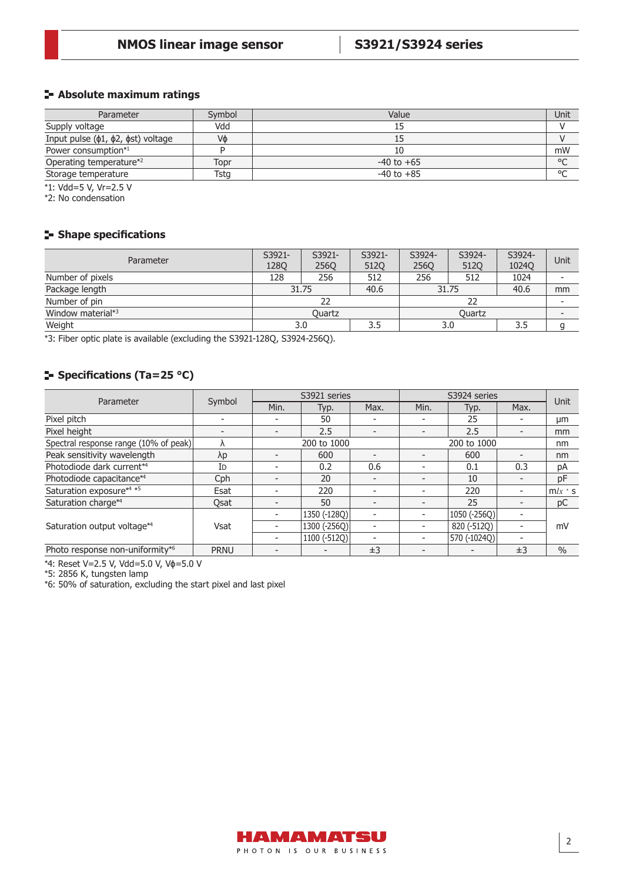# **Absolute maximum ratings**

| Parameter                                    | Symbol | Value          | Unit    |
|----------------------------------------------|--------|----------------|---------|
| Supply voltage                               | Vdd    |                |         |
| Input pulse $(\phi1, \phi2, \phist)$ voltage | Vф     |                |         |
| Power consumption*1                          |        |                | mW      |
| Operating temperature* <sup>2</sup>          | Topr   | $-40$ to $+65$ | $\circ$ |
| Storage temperature                          | Tsta   | $-40$ to $+85$ | $\circ$ |

\*1: Vdd=5 V, Vr=2.5 V

\*2: No condensation

# **Shape specifications**

| Parameter                     | S3921-<br><b>1280</b> | S3921-<br><b>2560</b> | S3921-<br>512Q | S3924-<br><b>2560</b> | S3924-<br><b>5120</b> | S3924-<br><b>1024Q</b> | Unit |
|-------------------------------|-----------------------|-----------------------|----------------|-----------------------|-----------------------|------------------------|------|
| Number of pixels              | 128                   | 256                   | 512            | 256                   | 512                   | 1024                   |      |
| Package length                | 31.75                 |                       | 40.6           | 31.75                 |                       | 40.6                   | mm   |
| Number of pin                 |                       |                       |                |                       |                       |                        |      |
| Window material* <sup>3</sup> | <b>Ouartz</b>         |                       |                | Ouartz                |                       |                        |      |
| Weight                        | 3.5<br>3.0<br>3.0     |                       |                |                       | 3.5                   |                        |      |

\*3: Fiber optic plate is available (excluding the S3921-128Q, S3924-256Q).

# **F** Specifications (Ta=25 °C)

| Parameter                             |             |                          | S3921 series |                          | S3924 series             | Unit         |      |               |  |
|---------------------------------------|-------------|--------------------------|--------------|--------------------------|--------------------------|--------------|------|---------------|--|
|                                       | Symbol      | Min.                     | Typ.         | Max.                     | Min.                     | Typ.         | Max. |               |  |
| Pixel pitch                           |             |                          | 50           |                          |                          | 25           |      | μm            |  |
| Pixel height                          | -           | $\overline{\phantom{0}}$ | 2.5          | $\overline{\phantom{a}}$ | $\overline{\phantom{0}}$ | 2.5          |      | mm            |  |
| Spectral response range (10% of peak) | Λ           | 200 to 1000              |              |                          |                          | nm           |      |               |  |
| Peak sensitivity wavelength           | λp          | $\overline{\phantom{0}}$ | 600          |                          |                          | 600          |      | nm            |  |
| Photodiode dark current*4             | Id          | $\overline{\phantom{0}}$ | 0.2          | 0.6                      | $\overline{\phantom{0}}$ | 0.1          | 0.3  | рA            |  |
| Photodiode capacitance*4              | Cph         | $\overline{\phantom{0}}$ | 20           | -                        |                          | 10           |      | pF            |  |
| Saturation exposure*4 *5              | Esat        |                          | 220          | $\overline{\phantom{0}}$ |                          | 220          |      | $m/x$ s       |  |
| Saturation charge*4                   | Osat        |                          | 50           | $\overline{\phantom{a}}$ | $\overline{\phantom{0}}$ | 25           |      | pC            |  |
| Saturation output voltage*4           | <b>Vsat</b> |                          | 1350 (-128Q) | $\overline{\phantom{a}}$ |                          | 1050 (-256Q) |      |               |  |
|                                       |             | $\overline{\phantom{0}}$ | 1300 (-256Q) | $\overline{\phantom{a}}$ |                          | 820 (-512Q)  |      | mV            |  |
|                                       |             | $\overline{\phantom{0}}$ | 1100 (-512Q) | $\overline{\phantom{0}}$ |                          | 570 (-1024Q) |      |               |  |
| Photo response non-uniformity*6       | <b>PRNU</b> |                          |              | ±3                       |                          |              | ±3   | $\frac{0}{0}$ |  |

\*4: Reset V=2.5 V, Vdd=5.0 V, Vɸ=5.0 V

\*5: 2856 K, tungsten lamp

\*6: 50% of saturation, excluding the start pixel and last pixel

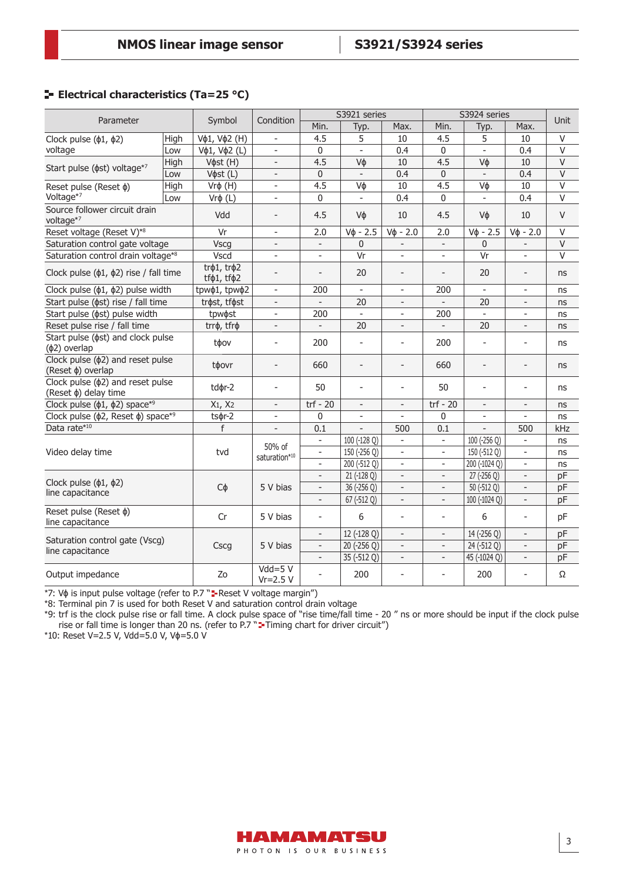# **E** Electrical characteristics (Ta=25 °C)

| Parameter                                                      |      |                            | Condition                 | S3921 series             |                          |                          | S3924 series             |                          |                          |                         |
|----------------------------------------------------------------|------|----------------------------|---------------------------|--------------------------|--------------------------|--------------------------|--------------------------|--------------------------|--------------------------|-------------------------|
|                                                                |      | Symbol                     |                           | Min.                     | Typ.                     | Max.                     | Min.                     | Typ.                     | Max.                     | Unit                    |
| Clock pulse $(\phi1, \phi2)$                                   | High | Vф1, Vф2 (H)               |                           | 4.5                      | 5                        | 10                       | 4.5                      | 5                        | 10                       | $\vee$                  |
| voltage                                                        | Low  | Vφ1, Vφ2 (L)               | $\overline{\phantom{a}}$  | $\boldsymbol{0}$         | $\overline{a}$           | 0.4                      | $\overline{0}$           | $\overline{a}$           | 0.4                      | $\overline{\mathsf{v}}$ |
| Start pulse ( $\phi$ st) voltage*7                             | High | V $\phi$ st (H)            | $\blacksquare$            | 4.5                      | Vф                       | 10                       | 4.5                      | Vф                       | 10                       | $\vee$                  |
|                                                                | Low  | V $\phi$ st (L)            | $\overline{\phantom{a}}$  | $\mathbf 0$              | $\overline{\phantom{a}}$ | 0.4                      | $\pmb{0}$                | $\overline{\phantom{m}}$ | 0.4                      | $\vee$                  |
| Reset pulse (Reset $\phi$ )                                    | High | $Vr$ φ $(H)$               | $\overline{\phantom{a}}$  | 4.5                      | Vф                       | 10                       | 4.5                      | Vф                       | 10                       | $\vee$                  |
| Voltage*7                                                      | Low  | $Vr$ φ (L)                 | $\overline{\phantom{a}}$  | 0                        | $\overline{\phantom{a}}$ | 0.4                      | $\mathbf{0}$             | $\blacksquare$           | 0.4                      | $\vee$                  |
| Source follower circuit drain<br>voltage*7                     |      | Vdd                        | $\overline{\phantom{a}}$  | 4.5                      | Vф                       | 10                       | 4.5                      | Vφ                       | 10                       | $\vee$                  |
| Reset voltage (Reset V)*8                                      |      | Vr                         | $\overline{\phantom{a}}$  | 2.0                      | $V\phi - 2.5$            | $V\phi - 2.0$            | 2.0                      | $V_{\Phi} - 2.5$         | $V\phi - 2.0$            | $\vee$                  |
| Saturation control gate voltage                                |      | <b>Vscg</b>                | $\overline{\phantom{a}}$  | $\overline{\phantom{a}}$ | $\Omega$                 |                          |                          | $\mathbf{0}$             |                          | V                       |
| Saturation control drain voltage*8                             |      | Vscd                       |                           | $\overline{a}$           | Vr                       | $\overline{a}$           |                          | Vr                       | $\overline{a}$           | $\vee$                  |
| Clock pulse $(\phi1, \phi2)$ rise / fall time                  |      | trφ1, trφ2<br>tfφ1, tfφ2   | $\overline{\phantom{a}}$  | $\overline{a}$           | 20                       | $\overline{a}$           |                          | 20                       | $\overline{\phantom{m}}$ | ns                      |
| Clock pulse $(\phi1, \phi2)$ pulse width                       |      | tpw $\phi$ 1, tpw $\phi$ 2 | $\overline{\phantom{a}}$  | 200                      | $\overline{\phantom{a}}$ | $\overline{\phantom{a}}$ | 200                      | $\blacksquare$           | $\overline{\phantom{a}}$ | ns                      |
| Start pulse ( $\phi$ st) rise / fall time                      |      | trøst, tføst               | $\overline{\phantom{a}}$  | $\overline{\phantom{a}}$ | 20                       | $\overline{\phantom{0}}$ | $\overline{\phantom{a}}$ | 20                       | $\overline{\phantom{0}}$ | ns                      |
| Start pulse ( $\phi$ st) pulse width                           |      | tpw $\phi$ st              | $\overline{\phantom{a}}$  | 200                      | $\overline{a}$           | $\overline{a}$           | 200                      |                          | $\overline{\phantom{a}}$ | ns                      |
| Reset pulse rise / fall time                                   |      | trrø, tfrø                 | $\overline{\phantom{a}}$  | $\overline{\phantom{a}}$ | 20                       | $\overline{a}$           |                          | 20                       | $\overline{a}$           | ns                      |
| Start pulse ( $\phi$ st) and clock pulse<br>$(\phi 2)$ overlap |      | tφov                       | $\bar{a}$                 | 200                      | $\overline{a}$           | $\overline{a}$           | 200                      | $\overline{a}$           | $\bar{a}$                | ns                      |
| Clock pulse $(\phi 2)$ and reset pulse<br>(Reset φ) overlap    |      | tφovr                      | $\overline{\phantom{a}}$  | 660                      | $\overline{a}$           | $\overline{a}$           | 660                      | $\overline{\phantom{a}}$ | $\overline{a}$           | ns                      |
| Clock pulse $(\phi 2)$ and reset pulse<br>(Reset φ) delay time |      | tdør-2                     | $\overline{\phantom{a}}$  | 50                       | $\overline{\phantom{a}}$ | $\overline{a}$           | 50                       | $\overline{\phantom{0}}$ | $\overline{a}$           | ns                      |
| Clock pulse $(\phi 1, \phi 2)$ space*9                         |      | $X_1$ , $X_2$              | $\overline{\phantom{a}}$  | $trf - 20$               | $\overline{\phantom{a}}$ | $\overline{\phantom{0}}$ | $trf - 20$               | $\overline{\phantom{a}}$ | $\overline{\phantom{a}}$ | ns                      |
| Clock pulse ( $\phi$ 2, Reset $\phi$ ) space* <sup>9</sup>     |      | $ts$ $\phi$ r-2            | $\overline{\phantom{a}}$  | $\mathbf 0$              | -                        | $\qquad \qquad -$        | 0                        | $\overline{\phantom{a}}$ | $\overline{\phantom{a}}$ | ns                      |
| Data rate*10                                                   |      | f                          | $\overline{\phantom{a}}$  | 0.1                      | $\overline{a}$           | 500                      | 0.1                      | $\overline{a}$           | 500                      | kHz                     |
|                                                                |      | tvd                        | 50% of<br>saturation*10   | $\overline{\phantom{a}}$ | 100 (-128 Q)             | $\overline{a}$           | $\blacksquare$           | 100 (-256 Q)             | $\blacksquare$           | ns                      |
| Video delay time                                               |      |                            |                           | $\overline{a}$           | 150 (-256 Q)             | $\overline{a}$           | $\overline{a}$           | 150 (-512 Q)             | $\equiv$                 | ns                      |
|                                                                |      |                            |                           | $\overline{a}$           | 200 (-512 Q)             | $\overline{a}$           | ÷                        | 200 (-1024 Q)            | $\overline{a}$           | ns                      |
| Clock pulse $(\phi_1, \phi_2)$<br>line capacitance             |      | $C\phi$                    | 5 V bias                  | $\overline{\phantom{a}}$ | 21 (-128 Q)              | $\overline{a}$           | $\overline{\phantom{a}}$ | 27 (-256 Q)              | $\overline{\phantom{a}}$ | pF                      |
|                                                                |      |                            |                           | $\overline{\phantom{a}}$ | 36 (-256 Q)              | $\frac{1}{2}$            | $\overline{\phantom{a}}$ | 50 (-512 Q)              | $\overline{\phantom{a}}$ | pF                      |
|                                                                |      |                            |                           | $\overline{a}$           | 67 (-512 Q)              | $\qquad \qquad -$        | $\overline{\phantom{a}}$ | 100 (-1024 Q)            | $\overline{\phantom{a}}$ | pF                      |
| Reset pulse (Reset $\phi$ )<br>line capacitance                |      | Cr                         | 5 V bias                  | $\overline{a}$           | 6                        | $\overline{a}$           | ÷                        | 6                        | $\bar{a}$                | pF                      |
| Saturation control gate (Vscg)                                 |      | Cscg                       | 5 V bias                  | $\overline{\phantom{a}}$ | 12 (-128 Q)              | $\overline{a}$           | $\overline{\phantom{a}}$ | 14 (-256 Q)              | $\overline{\phantom{a}}$ | pF                      |
|                                                                |      |                            |                           | $\overline{\phantom{a}}$ | 20 (-256 Q)              | $\overline{\phantom{a}}$ | $\overline{\phantom{a}}$ | 24 (-512 Q)              | $\Box$                   | pF                      |
| line capacitance                                               |      |                            |                           | $\overline{\phantom{a}}$ | 35 (-512 Q)              | $\overline{\phantom{a}}$ | $\overline{\phantom{a}}$ | 45 (-1024 Q)             | $\overline{\phantom{a}}$ | pF                      |
| Output impedance                                               |      | Zo                         | $Vdd = 5 V$<br>$Vr=2.5 V$ | ÷                        | 200                      | $\overline{a}$           | $\overline{\phantom{a}}$ | 200                      | $\overline{\phantom{a}}$ | Ω                       |

\*7: Vo is input pulse voltage (refer to P.7 "= Reset V voltage margin")

\*8: Terminal pin 7 is used for both Reset V and saturation control drain voltage

\*9: trf is the clock pulse rise or fall time. A clock pulse space of "rise time/fall time - 20 " ns or more should be input if the clock pulse rise or fall time is longer than 20 ns. (refer to P.7 "**T**-Timing chart for driver circuit")

\*10: Reset V=2.5 V, Vdd=5.0 V, Vɸ=5.0 V

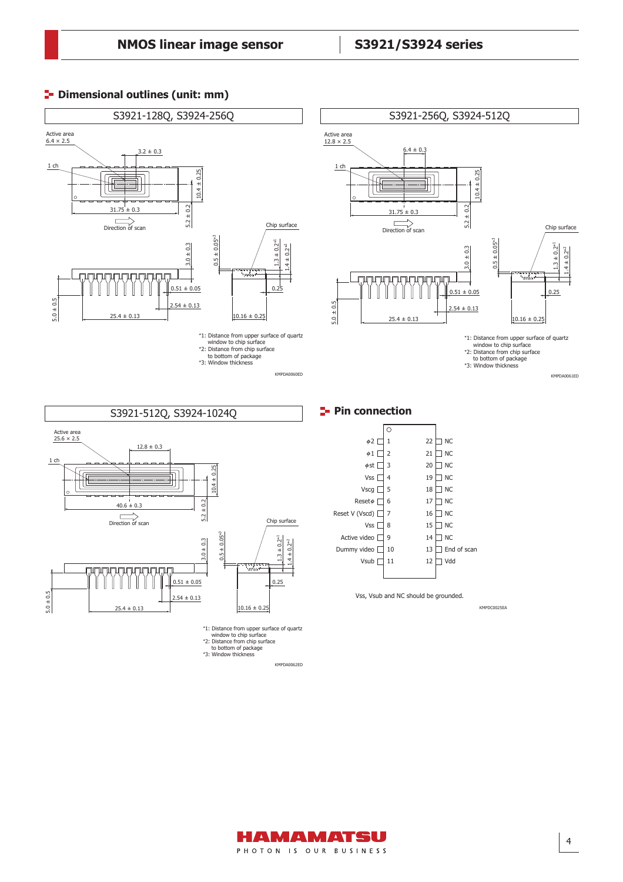# **P**- Dimensional outlines (unit: mm)



Vss, Vsub and NC should be grounded.

KMPDC0025EA

to bottom of package \*3: Window thickness KMPDA0062ED

 $10.16 \pm 0.25$ 

\*1: Distance from upper surface of quartz window to chip surface \*2: Distance from chip surface

0.25

 $0.51 \pm 0.05$ 

 $2.54 \pm 0.13$ 

 $25.4 \pm 0.13$ 

 $\mathbb{I}$ 

mananananan  $\mathbb{I}$  $\mathbf{r}$ H

 $\mathbb{I}$ 

 $5.0 \pm 0.5$ 

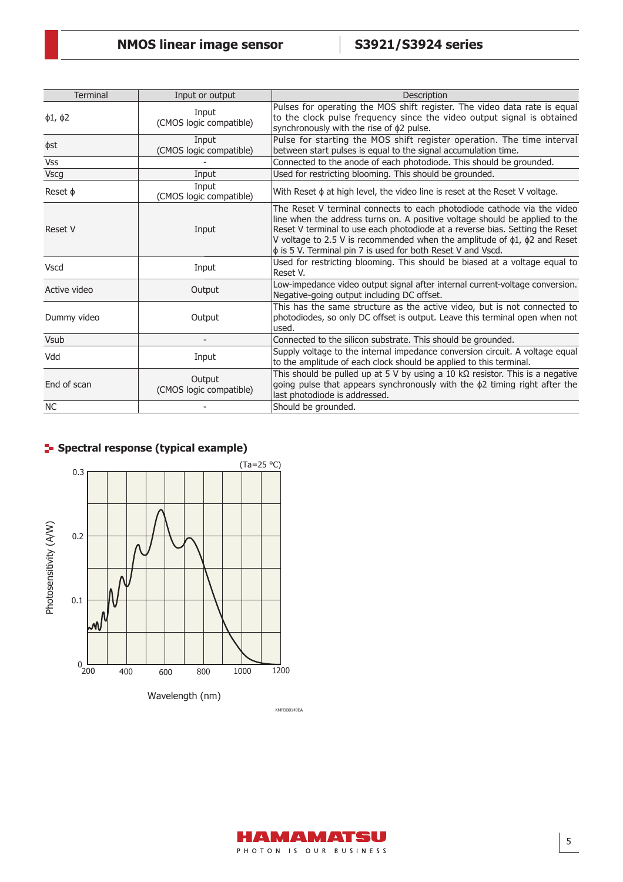| <b>Terminal</b>    | Input or output                   | Description                                                                                                                                                                                                                                                                                                                                                                                       |
|--------------------|-----------------------------------|---------------------------------------------------------------------------------------------------------------------------------------------------------------------------------------------------------------------------------------------------------------------------------------------------------------------------------------------------------------------------------------------------|
| $\phi$ 1, $\phi$ 2 | Input<br>(CMOS logic compatible)  | Pulses for operating the MOS shift register. The video data rate is equal<br>to the clock pulse frequency since the video output signal is obtained<br>synchronously with the rise of $\phi$ 2 pulse.                                                                                                                                                                                             |
| фst                | Input<br>(CMOS logic compatible)  | Pulse for starting the MOS shift register operation. The time interval<br>between start pulses is equal to the signal accumulation time.                                                                                                                                                                                                                                                          |
| <b>Vss</b>         |                                   | Connected to the anode of each photodiode. This should be grounded.                                                                                                                                                                                                                                                                                                                               |
| <b>Vscg</b>        | Input                             | Used for restricting blooming. This should be grounded.                                                                                                                                                                                                                                                                                                                                           |
| Reset $\phi$       | Input<br>(CMOS logic compatible)  | With Reset $\phi$ at high level, the video line is reset at the Reset V voltage.                                                                                                                                                                                                                                                                                                                  |
| <b>Reset V</b>     | Input                             | The Reset V terminal connects to each photodiode cathode via the video<br>line when the address turns on. A positive voltage should be applied to the<br>Reset V terminal to use each photodiode at a reverse bias. Setting the Reset<br>V voltage to 2.5 V is recommended when the amplitude of $\phi$ 1, $\phi$ 2 and Reset<br>$\phi$ is 5 V. Terminal pin 7 is used for both Reset V and Vscd. |
| <b>Vscd</b>        | Input                             | Used for restricting blooming. This should be biased at a voltage equal to<br>Reset V.                                                                                                                                                                                                                                                                                                            |
| Active video       | Output                            | Low-impedance video output signal after internal current-voltage conversion.<br>Negative-going output including DC offset.                                                                                                                                                                                                                                                                        |
| Dummy video        | Output                            | This has the same structure as the active video, but is not connected to<br>photodiodes, so only DC offset is output. Leave this terminal open when not<br>used.                                                                                                                                                                                                                                  |
| <b>Vsub</b>        | $\overline{\phantom{a}}$          | Connected to the silicon substrate. This should be grounded.                                                                                                                                                                                                                                                                                                                                      |
| Vdd                | Input                             | Supply voltage to the internal impedance conversion circuit. A voltage equal<br>to the amplitude of each clock should be applied to this terminal.                                                                                                                                                                                                                                                |
| End of scan        | Output<br>(CMOS logic compatible) | This should be pulled up at 5 V by using a 10 k $\Omega$ resistor. This is a negative<br>going pulse that appears synchronously with the $\phi$ 2 timing right after the<br>last photodiode is addressed.                                                                                                                                                                                         |
| <b>NC</b>          |                                   | Should be grounded.                                                                                                                                                                                                                                                                                                                                                                               |

# **F** Spectral response (typical example)



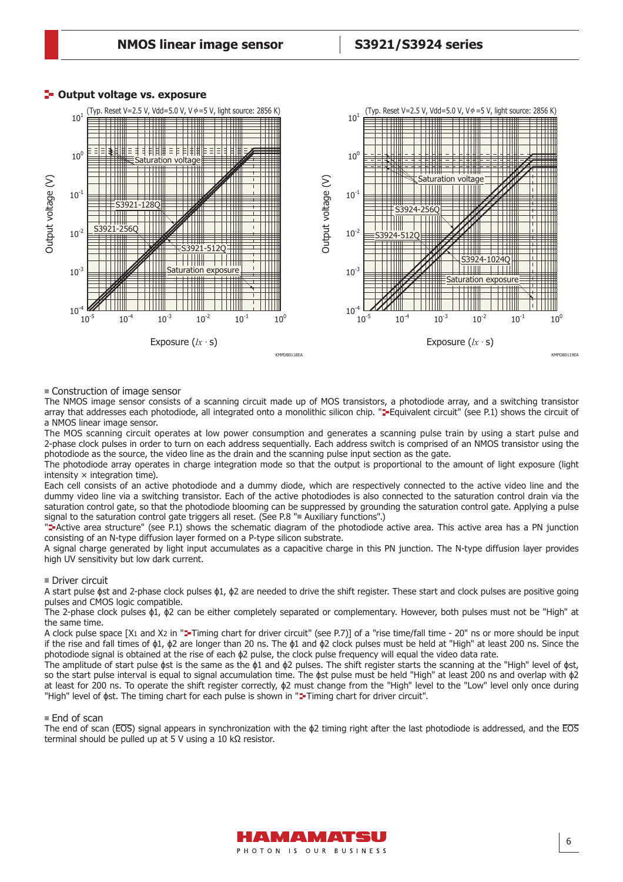

#### **P**- Output voltage vs. exposure

#### Construction of image sensor

The NMOS image sensor consists of a scanning circuit made up of MOS transistors, a photodiode array, and a switching transistor array that addresses each photodiode, all integrated onto a monolithic silicon chip. "<sup>2</sup> Equivalent circuit" (see P.1) shows the circuit of a NMOS linear image sensor.

The MOS scanning circuit operates at low power consumption and generates a scanning pulse train by using a start pulse and 2-phase clock pulses in order to turn on each address sequentially. Each address switch is comprised of an NMOS transistor using the photodiode as the source, the video line as the drain and the scanning pulse input section as the gate.

The photodiode array operates in charge integration mode so that the output is proportional to the amount of light exposure (light intensity  $\times$  integration time).

Each cell consists of an active photodiode and a dummy diode, which are respectively connected to the active video line and the dummy video line via a switching transistor. Each of the active photodiodes is also connected to the saturation control drain via the saturation control gate, so that the photodiode blooming can be suppressed by grounding the saturation control gate. Applying a pulse signal to the saturation control gate triggers all reset. (See P.8 "Auxiliary functions".)

"-Active area structure" (see P.1) shows the schematic diagram of the photodiode active area. This active area has a PN junction consisting of an N-type diffusion layer formed on a P-type silicon substrate.

A signal charge generated by light input accumulates as a capacitive charge in this PN junction. The N-type diffusion layer provides high UV sensitivity but low dark current.

#### ■ Driver circuit

A start pulse  $\phi$ st and 2-phase clock pulses  $\phi$ 1,  $\phi$ 2 are needed to drive the shift register. These start and clock pulses are positive going pulses and CMOS logic compatible.

The 2-phase clock pulses ɸ1, ɸ2 can be either completely separated or complementary. However, both pulses must not be "High" at the same time.

A clock pulse space [X1 and X2 in "<sup>2</sup>-Timing chart for driver circuit" (see P.7)] of a "rise time/fall time - 20" ns or more should be input if the rise and fall times of ɸ1, ɸ2 are longer than 20 ns. The ɸ1 and ɸ2 clock pulses must be held at "High" at least 200 ns. Since the photodiode signal is obtained at the rise of each ɸ2 pulse, the clock pulse frequency will equal the video data rate.

The amplitude of start pulse  $\phi$ st is the same as the  $\phi$ 1 and  $\phi$ 2 pulses. The shift register starts the scanning at the "High" level of  $\phi$ st, so the start pulse interval is equal to signal accumulation time. The  $\phi$ st pulse must be held "High" at least 200 ns and overlap with  $\phi$ 2 at least for 200 ns. To operate the shift register correctly, ɸ2 must change from the "High" level to the "Low" level only once during "High" level of  $\phi$ st. The timing chart for each pulse is shown in "**=-**Timing chart for driver circuit".

#### **End of scan**

The end of scan ( $\overline{EOS}$ ) signal appears in synchronization with the  $\phi$ 2 timing right after the last photodiode is addressed, and the  $\overline{EOS}$ terminal should be pulled up at 5 V using a 10 kΩ resistor.

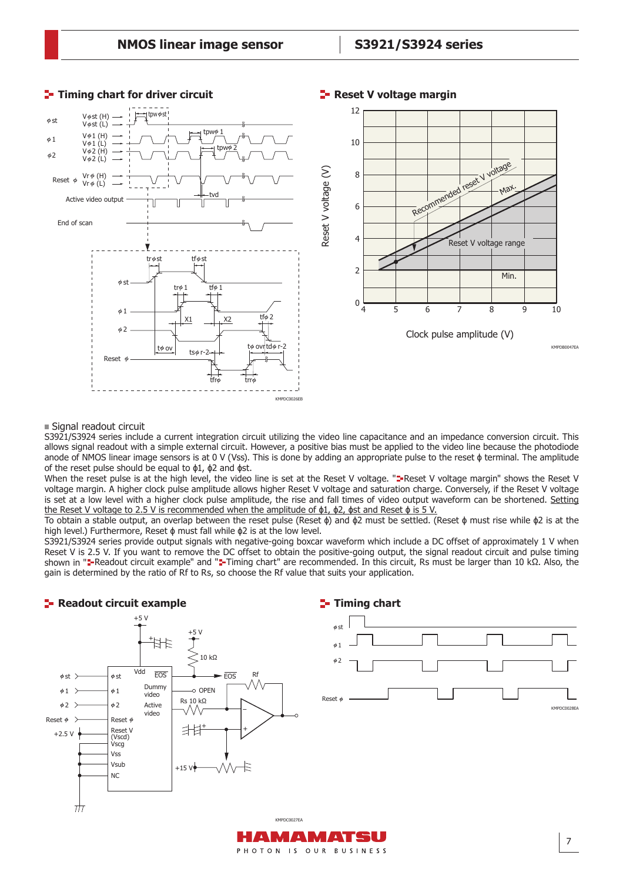

### **Timing chart for driver circuit Reset V voltage margin**

#### ■ Signal readout circuit

S3921/S3924 series include a current integration circuit utilizing the video line capacitance and an impedance conversion circuit. This allows signal readout with a simple external circuit. However, a positive bias must be applied to the video line because the photodiode anode of NMOS linear image sensors is at 0 V (Vss). This is done by adding an appropriate pulse to the reset  $\phi$  terminal. The amplitude of the reset pulse should be equal to ɸ1, ɸ2 and ɸst.

When the reset pulse is at the high level, the video line is set at the Reset V voltage. "**"**-Reset V voltage margin" shows the Reset V voltage margin. A higher clock pulse amplitude allows higher Reset V voltage and saturation charge. Conversely, if the Reset V voltage is set at a low level with a higher clock pulse amplitude, the rise and fall times of video output waveform can be shortened. Setting the Reset V voltage to 2.5 V is recommended when the amplitude of  $\phi$ 1,  $\phi$ 2,  $\phi$ st and Reset  $\phi$  is 5 V.

To obtain a stable output, an overlap between the reset pulse (Reset ɸ) and ɸ2 must be settled. (Reset ɸ must rise while ɸ2 is at the high level.) Furthermore, Reset ɸ must fall while ɸ2 is at the low level.

S3921/S3924 series provide output signals with negative-going boxcar waveform which include a DC offset of approximately 1 V when Reset V is 2.5 V. If you want to remove the DC offset to obtain the positive-going output, the signal readout circuit and pulse timing shown in "a-Readout circuit example" and "a-Timing chart" are recommended. In this circuit, Rs must be larger than 10 kΩ. Also, the gain is determined by the ratio of Rf to Rs, so choose the Rf value that suits your application.

**Timing chart**

# **E-** Readout circuit example



PHOTON IS OUR BUSINESS

7

KMPDC0028EA